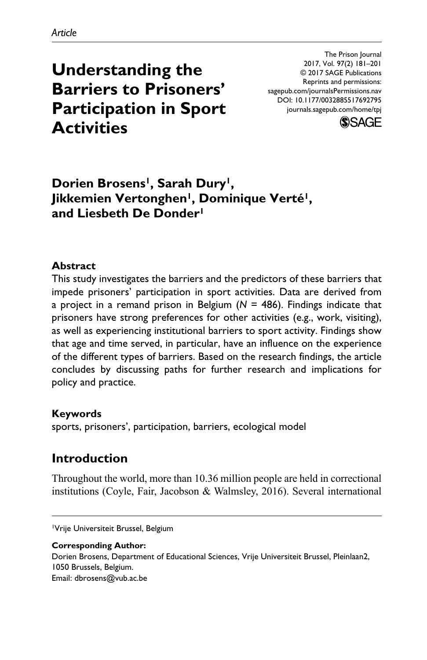**Understanding the Barriers to Prisoners' Participation in Sport Activities**

DOI: 10.1177/0032885517692795 The Prison Journal 2017, Vol. 97(2) 181–201 © 2017 SAGE Publications Reprints and permissions: [sagepub.com/journalsPermissions.nav](https://us.sagepub.com/en-us/journals-permissions) [journals.sagepub.com/home/tpj](https://journals.sagepub.com/home/tpj)



# Dorien Brosens<sup>1</sup>, Sarah Dury<sup>1</sup>, Jikkemien Vertonghen<sup>1</sup>, Dominique Verté<sup>1</sup>, **and Liesbeth De Donder1**

#### **Abstract**

This study investigates the barriers and the predictors of these barriers that impede prisoners' participation in sport activities. Data are derived from a project in a remand prison in Belgium (*N* = 486). Findings indicate that prisoners have strong preferences for other activities (e.g., work, visiting), as well as experiencing institutional barriers to sport activity. Findings show that age and time served, in particular, have an influence on the experience of the different types of barriers. Based on the research findings, the article concludes by discussing paths for further research and implications for policy and practice.

#### **Keywords**

sports, prisoners', participation, barriers, ecological model

## **Introduction**

Throughout the world, more than 10.36 million people are held in correctional institutions (Coyle, Fair, Jacobson & Walmsley, 2016). Several international

1Vrije Universiteit Brussel, Belgium

#### **Corresponding Author:**

Dorien Brosens, Department of Educational Sciences, Vrije Universiteit Brussel, Pleinlaan2, 1050 Brussels, Belgium. Email: [dbrosens@vub.ac.be](mailto:dbrosens@vub.ac.be)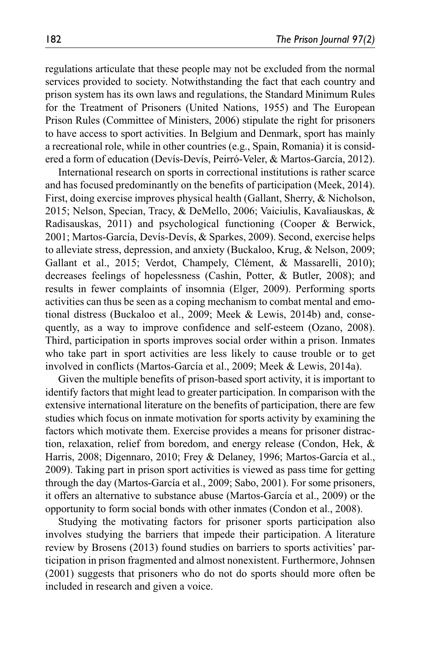regulations articulate that these people may not be excluded from the normal services provided to society. Notwithstanding the fact that each country and prison system has its own laws and regulations, the Standard Minimum Rules for the Treatment of Prisoners (United Nations, 1955) and The European Prison Rules (Committee of Ministers, 2006) stipulate the right for prisoners to have access to sport activities. In Belgium and Denmark, sport has mainly a recreational role, while in other countries (e.g., Spain, Romania) it is considered a form of education (Devís-Devís, Peirró-Veler, & Martos-García, 2012).

International research on sports in correctional institutions is rather scarce and has focused predominantly on the benefits of participation (Meek, 2014). First, doing exercise improves physical health (Gallant, Sherry, & Nicholson, 2015; Nelson, Specian, Tracy, & DeMello, 2006; Vaiciulis, Kavaliauskas, & Radisauskas, 2011) and psychological functioning (Cooper & Berwick, 2001; Martos-García, Devís-Devís, & Sparkes, 2009). Second, exercise helps to alleviate stress, depression, and anxiety (Buckaloo, Krug, & Nelson, 2009; Gallant et al., 2015; Verdot, Champely, Clément, & Massarelli, 2010); decreases feelings of hopelessness (Cashin, Potter, & Butler, 2008); and results in fewer complaints of insomnia (Elger, 2009). Performing sports activities can thus be seen as a coping mechanism to combat mental and emotional distress (Buckaloo et al., 2009; Meek & Lewis, 2014b) and, consequently, as a way to improve confidence and self-esteem (Ozano, 2008). Third, participation in sports improves social order within a prison. Inmates who take part in sport activities are less likely to cause trouble or to get involved in conflicts (Martos-García et al., 2009; Meek & Lewis, 2014a).

Given the multiple benefits of prison-based sport activity, it is important to identify factors that might lead to greater participation. In comparison with the extensive international literature on the benefits of participation, there are few studies which focus on inmate motivation for sports activity by examining the factors which motivate them. Exercise provides a means for prisoner distraction, relaxation, relief from boredom, and energy release (Condon, Hek, & Harris, 2008; Digennaro, 2010; Frey & Delaney, 1996; Martos-García et al., 2009). Taking part in prison sport activities is viewed as pass time for getting through the day (Martos-García et al., 2009; Sabo, 2001). For some prisoners, it offers an alternative to substance abuse (Martos-García et al., 2009) or the opportunity to form social bonds with other inmates (Condon et al., 2008).

Studying the motivating factors for prisoner sports participation also involves studying the barriers that impede their participation. A literature review by Brosens (2013) found studies on barriers to sports activities' participation in prison fragmented and almost nonexistent. Furthermore, Johnsen (2001) suggests that prisoners who do not do sports should more often be included in research and given a voice.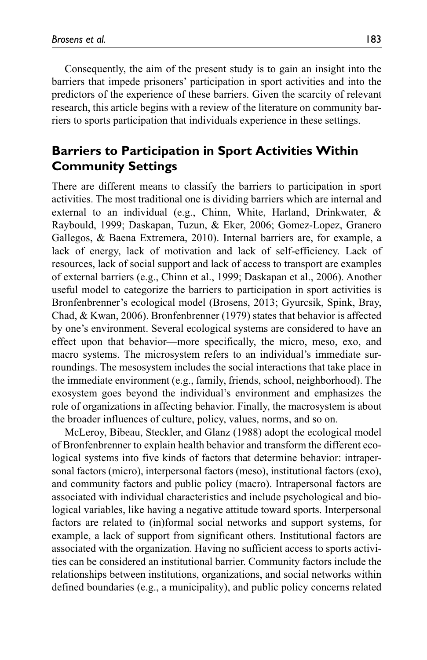Consequently, the aim of the present study is to gain an insight into the barriers that impede prisoners' participation in sport activities and into the predictors of the experience of these barriers. Given the scarcity of relevant research, this article begins with a review of the literature on community barriers to sports participation that individuals experience in these settings.

## **Barriers to Participation in Sport Activities Within Community Settings**

There are different means to classify the barriers to participation in sport activities. The most traditional one is dividing barriers which are internal and external to an individual (e.g., Chinn, White, Harland, Drinkwater, & Raybould, 1999; Daskapan, Tuzun, & Eker, 2006; Gomez-Lopez, Granero Gallegos, & Baena Extremera, 2010). Internal barriers are, for example, a lack of energy, lack of motivation and lack of self-efficiency. Lack of resources, lack of social support and lack of access to transport are examples of external barriers (e.g., Chinn et al., 1999; Daskapan et al., 2006). Another useful model to categorize the barriers to participation in sport activities is Bronfenbrenner's ecological model (Brosens, 2013; Gyurcsik, Spink, Bray, Chad, & Kwan, 2006). Bronfenbrenner (1979) states that behavior is affected by one's environment. Several ecological systems are considered to have an effect upon that behavior—more specifically, the micro, meso, exo, and macro systems. The microsystem refers to an individual's immediate surroundings. The mesosystem includes the social interactions that take place in the immediate environment (e.g., family, friends, school, neighborhood). The exosystem goes beyond the individual's environment and emphasizes the role of organizations in affecting behavior. Finally, the macrosystem is about the broader influences of culture, policy, values, norms, and so on.

McLeroy, Bibeau, Steckler, and Glanz (1988) adopt the ecological model of Bronfenbrenner to explain health behavior and transform the different ecological systems into five kinds of factors that determine behavior: intrapersonal factors (micro), interpersonal factors (meso), institutional factors (exo), and community factors and public policy (macro). Intrapersonal factors are associated with individual characteristics and include psychological and biological variables, like having a negative attitude toward sports. Interpersonal factors are related to (in)formal social networks and support systems, for example, a lack of support from significant others. Institutional factors are associated with the organization. Having no sufficient access to sports activities can be considered an institutional barrier. Community factors include the relationships between institutions, organizations, and social networks within defined boundaries (e.g., a municipality), and public policy concerns related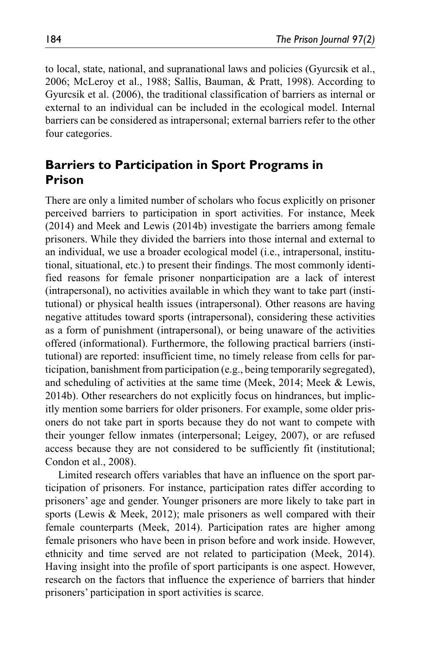to local, state, national, and supranational laws and policies (Gyurcsik et al., 2006; McLeroy et al., 1988; Sallis, Bauman, & Pratt, 1998). According to Gyurcsik et al. (2006), the traditional classification of barriers as internal or external to an individual can be included in the ecological model. Internal barriers can be considered as intrapersonal; external barriers refer to the other four categories.

# **Barriers to Participation in Sport Programs in Prison**

There are only a limited number of scholars who focus explicitly on prisoner perceived barriers to participation in sport activities. For instance, Meek (2014) and Meek and Lewis (2014b) investigate the barriers among female prisoners. While they divided the barriers into those internal and external to an individual, we use a broader ecological model (i.e., intrapersonal, institutional, situational, etc.) to present their findings. The most commonly identified reasons for female prisoner nonparticipation are a lack of interest (intrapersonal), no activities available in which they want to take part (institutional) or physical health issues (intrapersonal). Other reasons are having negative attitudes toward sports (intrapersonal), considering these activities as a form of punishment (intrapersonal), or being unaware of the activities offered (informational). Furthermore, the following practical barriers (institutional) are reported: insufficient time, no timely release from cells for participation, banishment from participation (e.g., being temporarily segregated), and scheduling of activities at the same time (Meek, 2014; Meek & Lewis, 2014b). Other researchers do not explicitly focus on hindrances, but implicitly mention some barriers for older prisoners. For example, some older prisoners do not take part in sports because they do not want to compete with their younger fellow inmates (interpersonal; Leigey, 2007), or are refused access because they are not considered to be sufficiently fit (institutional; Condon et al., 2008).

Limited research offers variables that have an influence on the sport participation of prisoners. For instance, participation rates differ according to prisoners' age and gender. Younger prisoners are more likely to take part in sports (Lewis & Meek, 2012); male prisoners as well compared with their female counterparts (Meek, 2014). Participation rates are higher among female prisoners who have been in prison before and work inside. However, ethnicity and time served are not related to participation (Meek, 2014). Having insight into the profile of sport participants is one aspect. However, research on the factors that influence the experience of barriers that hinder prisoners' participation in sport activities is scarce.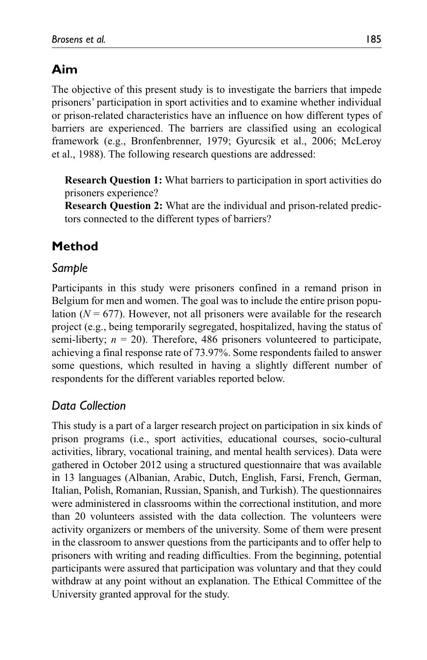# **Aim**

The objective of this present study is to investigate the barriers that impede prisoners' participation in sport activities and to examine whether individual or prison-related characteristics have an influence on how different types of barriers are experienced. The barriers are classified using an ecological framework (e.g., Bronfenbrenner, 1979; Gyurcsik et al., 2006; McLeroy et al., 1988). The following research questions are addressed:

**Research Question 1:** What barriers to participation in sport activities do prisoners experience?

**Research Question 2:** What are the individual and prison-related predictors connected to the different types of barriers?

# **Method**

## *Sample*

Participants in this study were prisoners confined in a remand prison in Belgium for men and women. The goal was to include the entire prison population  $(N = 677)$ . However, not all prisoners were available for the research project (e.g., being temporarily segregated, hospitalized, having the status of semi-liberty;  $n = 20$ ). Therefore, 486 prisoners volunteered to participate, achieving a final response rate of 73.97%. Some respondents failed to answer some questions, which resulted in having a slightly different number of respondents for the different variables reported below.

## *Data Collection*

This study is a part of a larger research project on participation in six kinds of prison programs (i.e., sport activities, educational courses, socio-cultural activities, library, vocational training, and mental health services). Data were gathered in October 2012 using a structured questionnaire that was available in 13 languages (Albanian, Arabic, Dutch, English, Farsi, French, German, Italian, Polish, Romanian, Russian, Spanish, and Turkish). The questionnaires were administered in classrooms within the correctional institution, and more than 20 volunteers assisted with the data collection. The volunteers were activity organizers or members of the university. Some of them were present in the classroom to answer questions from the participants and to offer help to prisoners with writing and reading difficulties. From the beginning, potential participants were assured that participation was voluntary and that they could withdraw at any point without an explanation. The Ethical Committee of the University granted approval for the study.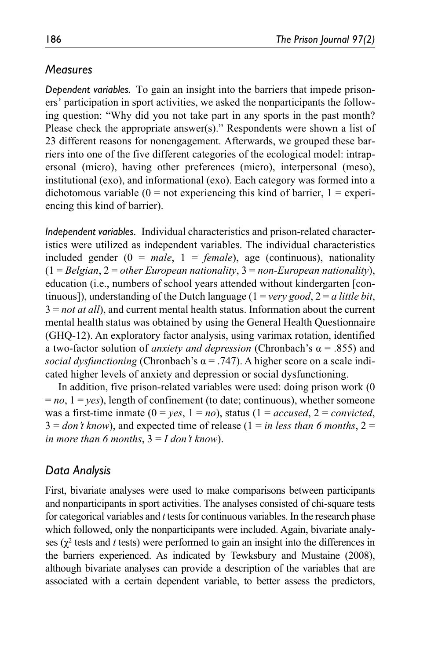### *Measures*

*Dependent variables.* To gain an insight into the barriers that impede prisoners' participation in sport activities, we asked the nonparticipants the following question: "Why did you not take part in any sports in the past month? Please check the appropriate answer(s)." Respondents were shown a list of 23 different reasons for nonengagement. Afterwards, we grouped these barriers into one of the five different categories of the ecological model: intrapersonal (micro), having other preferences (micro), interpersonal (meso), institutional (exo), and informational (exo). Each category was formed into a dichotomous variable  $(0 = not$  experiencing this kind of barrier,  $1 =$  experiencing this kind of barrier).

*Independent variables.* Individual characteristics and prison-related characteristics were utilized as independent variables. The individual characteristics included gender (0 = *male*, 1 = *female*), age (continuous), nationality (1 = *Belgian*, 2 = *other European nationality*, 3 = *non-European nationality*), education (i.e., numbers of school years attended without kindergarten [continuous]), understanding of the Dutch language (1 = *very good*, 2 = *a little bit*, 3 = *not at all*), and current mental health status. Information about the current mental health status was obtained by using the General Health Questionnaire (GHQ-12). An exploratory factor analysis, using varimax rotation, identified a two-factor solution of *anxiety and depression* (Chronbach's α = .855) and *social dysfunctioning* (Chronbach's  $\alpha$  = .747). A higher score on a scale indicated higher levels of anxiety and depression or social dysfunctioning.

In addition, five prison-related variables were used: doing prison work (0  $= no, 1 = yes$ ), length of confinement (to date; continuous), whether someone was a first-time inmate  $(0 = yes, 1 = no)$ , status  $(1 = accused, 2 = convicted,$  $3 = don't know$ , and expected time of release  $(1 = in less than 6 months, 2 = 3$ *in more than 6 months*,  $3 = I$  *don't know*).

# *Data Analysis*

First, bivariate analyses were used to make comparisons between participants and nonparticipants in sport activities. The analyses consisted of chi-square tests for categorical variables and *t* tests for continuous variables. In the research phase which followed, only the nonparticipants were included. Again, bivariate analyses  $(\chi^2$  tests and *t* tests) were performed to gain an insight into the differences in the barriers experienced. As indicated by Tewksbury and Mustaine (2008), although bivariate analyses can provide a description of the variables that are associated with a certain dependent variable, to better assess the predictors,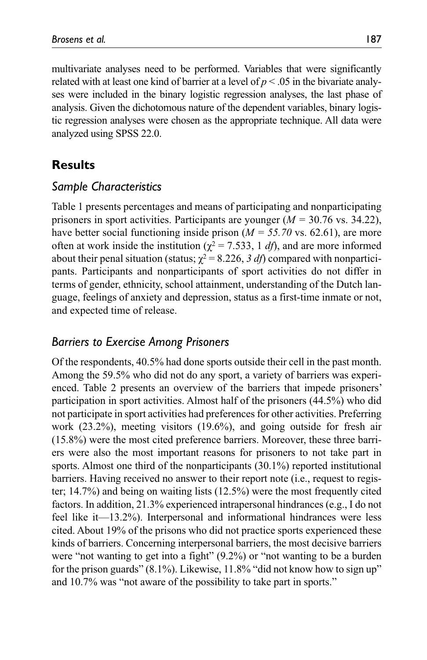multivariate analyses need to be performed. Variables that were significantly related with at least one kind of barrier at a level of  $p < .05$  in the bivariate analyses were included in the binary logistic regression analyses, the last phase of analysis. Given the dichotomous nature of the dependent variables, binary logistic regression analyses were chosen as the appropriate technique. All data were analyzed using SPSS 22.0.

## **Results**

#### *Sample Characteristics*

Table 1 presents percentages and means of participating and nonparticipating prisoners in sport activities. Participants are younger (*M =* 30.76 vs. 34.22), have better social functioning inside prison (*M = 55.70* vs. 62.61), are more often at work inside the institution ( $\chi^2$  = 7.533, 1 *df*), and are more informed about their penal situation (status;  $\chi^2 = 8.226$ , 3 df) compared with nonparticipants. Participants and nonparticipants of sport activities do not differ in terms of gender, ethnicity, school attainment, understanding of the Dutch language, feelings of anxiety and depression, status as a first-time inmate or not, and expected time of release.

#### *Barriers to Exercise Among Prisoners*

Of the respondents, 40.5% had done sports outside their cell in the past month. Among the 59.5% who did not do any sport, a variety of barriers was experienced. Table 2 presents an overview of the barriers that impede prisoners' participation in sport activities. Almost half of the prisoners (44.5%) who did not participate in sport activities had preferences for other activities. Preferring work (23.2%), meeting visitors (19.6%), and going outside for fresh air (15.8%) were the most cited preference barriers. Moreover, these three barriers were also the most important reasons for prisoners to not take part in sports. Almost one third of the nonparticipants (30.1%) reported institutional barriers. Having received no answer to their report note (i.e., request to register; 14.7%) and being on waiting lists (12.5%) were the most frequently cited factors. In addition, 21.3% experienced intrapersonal hindrances (e.g., I do not feel like it—13.2%). Interpersonal and informational hindrances were less cited. About 19% of the prisons who did not practice sports experienced these kinds of barriers. Concerning interpersonal barriers, the most decisive barriers were "not wanting to get into a fight" (9.2%) or "not wanting to be a burden for the prison guards"  $(8.1\%)$ . Likewise, 11.8% "did not know how to sign up" and 10.7% was "not aware of the possibility to take part in sports."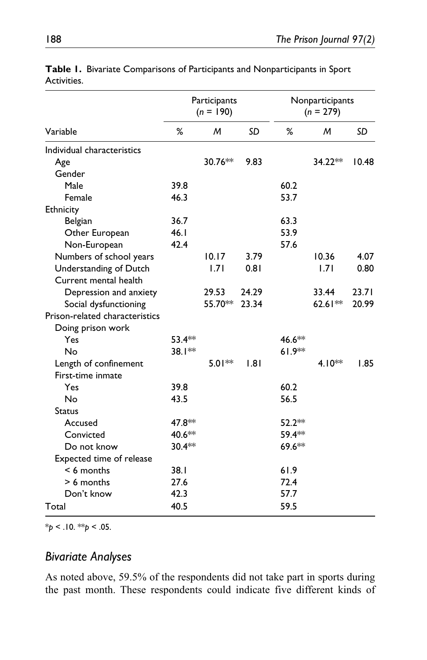|                                |          | Participants<br>$(n = 190)$ |       | Nonparticipants<br>$(n = 279)$ |          |       |  |
|--------------------------------|----------|-----------------------------|-------|--------------------------------|----------|-------|--|
| Variable                       | %        | м                           | SD    | %                              | м        | SD    |  |
| Individual characteristics     |          |                             |       |                                |          |       |  |
| Age                            |          | 30.76**                     | 9.83  |                                | 34.22**  | 10.48 |  |
| Gender                         |          |                             |       |                                |          |       |  |
| Male                           | 39.8     |                             |       | 60.2                           |          |       |  |
| Female                         | 46.3     |                             |       | 53.7                           |          |       |  |
| Ethnicity                      |          |                             |       |                                |          |       |  |
| Belgian                        | 36.7     |                             |       | 63.3                           |          |       |  |
| Other European                 | 46.1     |                             |       | 53.9                           |          |       |  |
| Non-European                   | 42.4     |                             |       | 57.6                           |          |       |  |
| Numbers of school years        |          | 10.17                       | 3.79  |                                | 10.36    | 4.07  |  |
| Understanding of Dutch         |          | 1.71                        | 0.81  |                                | 1.71     | 0.80  |  |
| Current mental health          |          |                             |       |                                |          |       |  |
| Depression and anxiety         |          | 29.53                       | 24.29 |                                | 33.44    | 23.71 |  |
| Social dysfunctioning          |          | 55.70**                     | 23.34 |                                | 62.61**  | 20.99 |  |
| Prison-related characteristics |          |                             |       |                                |          |       |  |
| Doing prison work              |          |                             |       |                                |          |       |  |
| Yes                            | $53.4**$ |                             |       | 46.6**                         |          |       |  |
| No                             | 38.1**   |                             |       | $61.9**$                       |          |       |  |
| Length of confinement          |          | $5.01**$                    | 1.81  |                                | $4.10**$ | 1.85  |  |
| First-time inmate              |          |                             |       |                                |          |       |  |
| Yes                            | 39.8     |                             |       | 60.2                           |          |       |  |
| No                             | 43.5     |                             |       | 56.5                           |          |       |  |
| <b>Status</b>                  |          |                             |       |                                |          |       |  |
| Accused                        | 47.8 **  |                             |       | $52.2**$                       |          |       |  |
| Convicted                      | 40.6**   |                             |       | 59.4**                         |          |       |  |
| Do not know                    | $30.4**$ |                             |       | 69.6**                         |          |       |  |
| Expected time of release       |          |                             |       |                                |          |       |  |
| $< 6$ months                   | 38.1     |                             |       | 61.9                           |          |       |  |
| $> 6$ months                   | 27.6     |                             |       | 72.4                           |          |       |  |
| Don't know                     | 42.3     |                             |       | 57.7                           |          |       |  |
| Total                          | 40.5     |                             |       | 59.5                           |          |       |  |

**Table 1.** Bivariate Comparisons of Participants and Nonparticipants in Sport Activities.

\**p* < .10. \*\**p* < .05.

#### *Bivariate Analyses*

As noted above, 59.5% of the respondents did not take part in sports during the past month. These respondents could indicate five different kinds of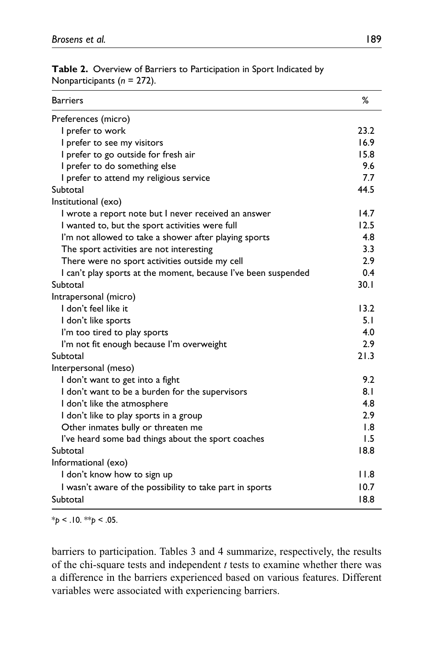| <b>Barriers</b>                                                | ℅    |
|----------------------------------------------------------------|------|
| Preferences (micro)                                            |      |
| I prefer to work                                               | 23.2 |
| I prefer to see my visitors                                    | 16.9 |
| I prefer to go outside for fresh air                           | 15.8 |
| I prefer to do something else                                  | 9.6  |
| I prefer to attend my religious service                        | 7.7  |
| Subtotal                                                       | 44.5 |
| Institutional (exo)                                            |      |
| I wrote a report note but I never received an answer           | 14.7 |
| I wanted to, but the sport activities were full                | 12.5 |
| I'm not allowed to take a shower after playing sports          | 4.8  |
| The sport activities are not interesting                       | 3.3  |
| There were no sport activities outside my cell                 | 2.9  |
| I can't play sports at the moment, because I've been suspended | 0.4  |
| Subtotal                                                       | 30.1 |
| Intrapersonal (micro)                                          |      |
| I don't feel like it                                           | 13.2 |
| I don't like sports                                            | 5.1  |
| I'm too tired to play sports                                   | 4.0  |
| I'm not fit enough because I'm overweight                      | 2.9  |
| Subtotal                                                       | 21.3 |
| Interpersonal (meso)                                           |      |
| I don't want to get into a fight                               | 9.2  |
| I don't want to be a burden for the supervisors                | 8.1  |
| I don't like the atmosphere                                    | 4.8  |
| I don't like to play sports in a group                         | 2.9  |
| Other inmates bully or threaten me                             | 1.8  |
| I've heard some bad things about the sport coaches             | 1.5  |
| Subtotal                                                       | 18.8 |
| Informational (exo)                                            |      |
| I don't know how to sign up                                    | 11.8 |
| I wasn't aware of the possibility to take part in sports       | 10.7 |
| Subtotal                                                       | 18.8 |

**Table 2.** Overview of Barriers to Participation in Sport Indicated by Nonparticipants (*n* = 272).

\**p* < .10. \*\**p* < .05.

barriers to participation. Tables 3 and 4 summarize, respectively, the results of the chi-square tests and independent *t* tests to examine whether there was a difference in the barriers experienced based on various features. Different variables were associated with experiencing barriers.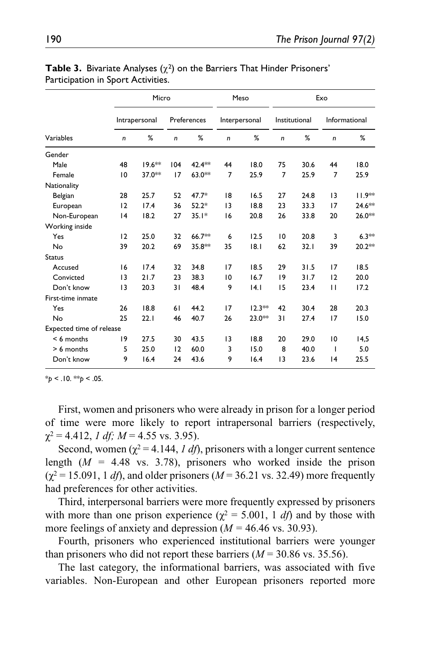|                          |                | Micro         |     | Meso        |                 | Exo           |              |               |                 |               |
|--------------------------|----------------|---------------|-----|-------------|-----------------|---------------|--------------|---------------|-----------------|---------------|
|                          |                | Intrapersonal |     | Preferences |                 | Interpersonal |              | Institutional |                 | Informational |
| Variables                | n              | %             | n   | %           | $\mathsf{n}$    | %             | $\mathsf{n}$ | %             | $\mathsf{n}$    | %             |
| Gender                   |                |               |     |             |                 |               |              |               |                 |               |
| Male                     | 48             | $19.6**$      | 104 | 42.4**      | 44              | 18.0          | 75           | 30.6          | 44              | 18.0          |
| Female                   | $\overline{0}$ | 37.0**        | 17  | $63.0**$    | $\overline{7}$  | 25.9          | 7            | 25.9          | $\overline{7}$  | 25.9          |
| Nationality              |                |               |     |             |                 |               |              |               |                 |               |
| Belgian                  | 28             | 25.7          | 52  | $47.7*$     | 18              | 16.5          | 27           | 24.8          | 3               | 11.9**        |
| European                 | 12             | 17.4          | 36  | $52.2*$     | 3               | 18.8          | 23           | 33.3          | 17              | 24.6**        |
| Non-European             | 4              | 18.2          | 27  | $35.1*$     | 16              | 20.8          | 26           | 33.8          | 20              | 26.0**        |
| Working inside           |                |               |     |             |                 |               |              |               |                 |               |
| Yes                      | 12             | 25.0          | 32  | 66.7**      | 6               | 12.5          | 10           | 20.8          | 3               | $6.3**$       |
| No                       | 39             | 20.2          | 69  | 35.8**      | 35              | 8.1           | 62           | 32.1          | 39              | 20.2**        |
| <b>Status</b>            |                |               |     |             |                 |               |              |               |                 |               |
| Accused                  | 16             | 17.4          | 32  | 34.8        | 17              | 18.5          | 29           | 31.5          | 17              | 18.5          |
| Convicted                | 3              | 21.7          | 23  | 38.3        | 10              | 16.7          | 9            | 31.7          | 12              | 20.0          |
| Don't know               | 3              | 20.3          | 31  | 48.4        | 9               | 4.1           | 15           | 23.4          | $\mathbf{H}$    | 17.2          |
| First-time inmate        |                |               |     |             |                 |               |              |               |                 |               |
| Yes                      | 26             | 18.8          | 61  | 44.2        | 17              | $12.3**$      | 42           | 30.4          | 28              | 20.3          |
| No                       | 25             | 22.1          | 46  | 40.7        | 26              | $23.0**$      | 31           | 27.4          | 17              | 15.0          |
| Expected time of release |                |               |     |             |                 |               |              |               |                 |               |
| $< 6$ months             | 19             | 27.5          | 30  | 43.5        | $\overline{13}$ | 18.8          | 20           | 29.0          | $\overline{10}$ | 14,5          |
| > 6 months               | 5              | 25.0          | 12  | 60.0        | 3               | 15.0          | 8            | 40.0          | T               | 5.0           |
| Don't know               | 9              | 16.4          | 24  | 43.6        | 9               | 16.4          | 13           | 23.6          | 4               | 25.5          |

|                                    |  |  |  | <b>Table 3.</b> Bivariate Analyses $(\chi^2)$ on the Barriers That Hinder Prisoners' |
|------------------------------------|--|--|--|--------------------------------------------------------------------------------------|
| Participation in Sport Activities. |  |  |  |                                                                                      |

First, women and prisoners who were already in prison for a longer period of time were more likely to report intrapersonal barriers (respectively,  $\gamma^2 = 4.412$ , *1 df; M* = 4.55 vs. 3.95).

Second, women ( $\chi^2$  = 4.144, *1 df*), prisoners with a longer current sentence length (*M =* 4.48 vs. 3.78), prisoners who worked inside the prison  $(\gamma^2 = 15.091, 1 \text{ df})$ , and older prisoners  $(M = 36.21 \text{ vs. } 32.49)$  more frequently had preferences for other activities.

Third, interpersonal barriers were more frequently expressed by prisoners with more than one prison experience ( $\chi^2 = 5.001$ , 1 *df*) and by those with more feelings of anxiety and depression (*M =* 46.46 vs. 30.93).

Fourth, prisoners who experienced institutional barriers were younger than prisoners who did not report these barriers  $(M = 30.86 \text{ vs. } 35.56)$ .

The last category, the informational barriers, was associated with five variables. Non-European and other European prisoners reported more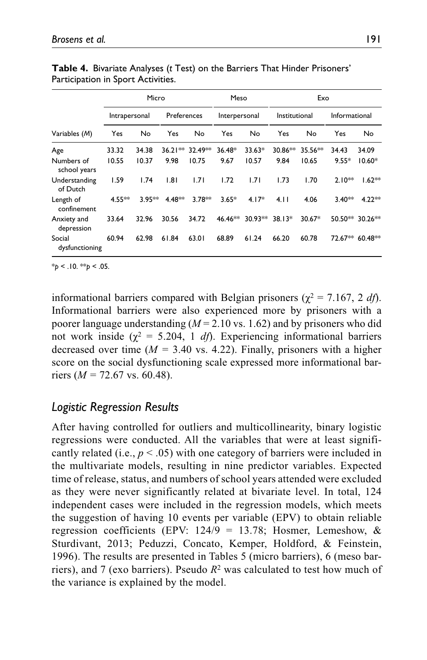|                            | Micro         |          |             |                 | Meso          |           | Exo           |          |                 |          |
|----------------------------|---------------|----------|-------------|-----------------|---------------|-----------|---------------|----------|-----------------|----------|
|                            | Intrapersonal |          | Preferences |                 | Interpersonal |           | Institutional |          | Informational   |          |
| Variables (M)              | Yes           | No       | Yes         | No              | Yes           | No        | Yes           | No       | Yes             | No       |
| Age                        | 33.32         | 34.38    |             | 36.21** 32.49** | $36.48*$      | 33.63*    | 30.86**       | 35.56**  | 34.43           | 34.09    |
| Numbers of<br>school years | 10.55         | 10.37    | 9.98        | 10.75           | 9.67          | 10.57     | 9.84          | 10.65    | $9.55*$         | $10.60*$ |
| Understanding<br>of Dutch  | 1.59          | 1.74     | 1.81        | 1.71            | 1.72          | 1.71      | 1.73          | 1.70     | $2.10**$        | $1.62**$ |
| Length of<br>confinement   | $4.55***$     | $3.95**$ | 4.48**      | $3.78***$       | $3.65*$       | $4.17*$   | 4.11          | 4.06     | $3.40**$        | $4.22**$ |
| Anxiety and<br>depression  | 33.64         | 32.96    | 30.56       | 34.72           | 46.46**       | $30.93**$ | $38.13*$      | $30.67*$ | 50.50** 30.26** |          |
| Social<br>dysfunctioning   | 60.94         | 62.98    | 61.84       | 63.01           | 68.89         | 61.24     | 66.20         | 60.78    | 72.67** 60.48** |          |

**Table 4.** Bivariate Analyses (*t* Test) on the Barriers That Hinder Prisoners' Participation in Sport Activities.

informational barriers compared with Belgian prisoners ( $\chi^2 = 7.167$ , 2 *df*). Informational barriers were also experienced more by prisoners with a poorer language understanding  $(M = 2.10 \text{ vs. } 1.62)$  and by prisoners who did not work inside ( $χ² = 5.204$ , 1 *df*). Experiencing informational barriers decreased over time  $(M = 3.40 \text{ vs. } 4.22)$ . Finally, prisoners with a higher score on the social dysfunctioning scale expressed more informational barriers (*M =* 72.67 vs. 60.48).

### *Logistic Regression Results*

After having controlled for outliers and multicollinearity, binary logistic regressions were conducted. All the variables that were at least significantly related (i.e.,  $p < .05$ ) with one category of barriers were included in the multivariate models, resulting in nine predictor variables. Expected time of release, status, and numbers of school years attended were excluded as they were never significantly related at bivariate level. In total, 124 independent cases were included in the regression models, which meets the suggestion of having 10 events per variable (EPV) to obtain reliable regression coefficients (EPV:  $124/9 = 13.78$ ; Hosmer, Lemeshow, & Sturdivant, 2013; Peduzzi, Concato, Kemper, Holdford, & Feinstein, 1996). The results are presented in Tables 5 (micro barriers), 6 (meso barriers), and 7 (exo barriers). Pseudo *R*2 was calculated to test how much of the variance is explained by the model.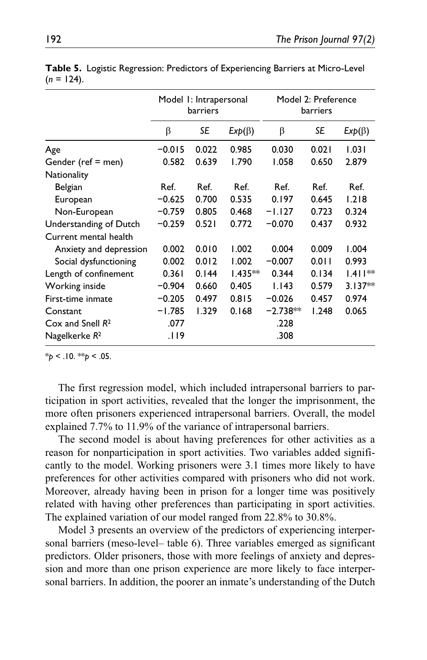|                           | Model 1: Intrapersonal<br>barriers |           |              | Model 2: Preference<br>barriers |       |              |
|---------------------------|------------------------------------|-----------|--------------|---------------------------------|-------|--------------|
|                           | β                                  | <b>SE</b> | $Exp(\beta)$ | β                               | SE    | $Exp(\beta)$ |
| Age                       | $-0.015$                           | 0.022     | 0.985        | 0.030                           | 0.021 | 1.031        |
| Gender (ref = men)        | 0.582                              | 0.639     | 1.790        | 1.058                           | 0.650 | 2.879        |
| Nationality               |                                    |           |              |                                 |       |              |
| Belgian                   | Ref.                               | Ref.      | Ref.         | Ref.                            | Ref.  | Ref.         |
| European                  | $-0.625$                           | 0.700     | 0.535        | 0.197                           | 0.645 | 1.218        |
| Non-European              | $-0.759$                           | 0.805     | 0.468        | $-1.127$                        | 0.723 | 0.324        |
| Understanding of Dutch    | $-0.259$                           | 0.521     | 0.772        | $-0.070$                        | 0.437 | 0.932        |
| Current mental health     |                                    |           |              |                                 |       |              |
| Anxiety and depression    | 0.002                              | 0.010     | 1.002        | 0.004                           | 0.009 | 1.004        |
| Social dysfunctioning     | 0.002                              | 0.012     | 1.002        | $-0.007$                        | 0.011 | 0.993        |
| Length of confinement     | 0.361                              | 0.144     | $1.435**$    | 0.344                           | 0.134 | $1.411**$    |
| Working inside            | $-0.904$                           | 0.660     | 0.405        | 1.143                           | 0.579 | $3.137**$    |
| First-time inmate         | $-0.205$                           | 0.497     | 0.815        | $-0.026$                        | 0.457 | 0.974        |
| Constant                  | $-1.785$                           | 1.329     | 0.168        | $-2.738**$                      | 1.248 | 0.065        |
| Cox and Snell $R^2$       | .077                               |           |              | .228                            |       |              |
| Nagelkerke R <sup>2</sup> | .119                               |           |              | .308                            |       |              |

**Table 5.** Logistic Regression: Predictors of Experiencing Barriers at Micro-Level  $(n = 124)$ .

The first regression model, which included intrapersonal barriers to participation in sport activities, revealed that the longer the imprisonment, the more often prisoners experienced intrapersonal barriers. Overall, the model explained 7.7% to 11.9% of the variance of intrapersonal barriers.

The second model is about having preferences for other activities as a reason for nonparticipation in sport activities. Two variables added significantly to the model. Working prisoners were 3.1 times more likely to have preferences for other activities compared with prisoners who did not work. Moreover, already having been in prison for a longer time was positively related with having other preferences than participating in sport activities. The explained variation of our model ranged from 22.8% to 30.8%.

Model 3 presents an overview of the predictors of experiencing interpersonal barriers (meso-level– table 6). Three variables emerged as significant predictors. Older prisoners, those with more feelings of anxiety and depression and more than one prison experience are more likely to face interpersonal barriers. In addition, the poorer an inmate's understanding of the Dutch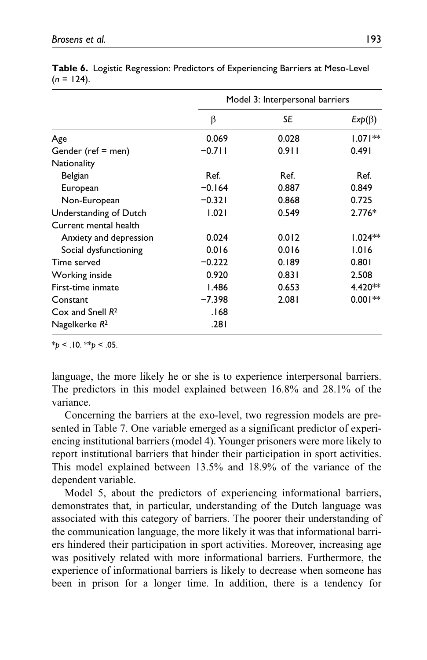|                           | Model 3: Interpersonal barriers |       |              |  |  |
|---------------------------|---------------------------------|-------|--------------|--|--|
|                           | β                               | SE    | $Exp(\beta)$ |  |  |
| Age                       | 0.069                           | 0.028 | $1.071**$    |  |  |
| Gender (ref = men)        | $-0.711$                        | 0.911 | 0.491        |  |  |
| Nationality               |                                 |       |              |  |  |
| Belgian                   | Ref.                            | Ref.  | Ref.         |  |  |
| European                  | $-0.164$                        | 0.887 | 0.849        |  |  |
| Non-European              | $-0.321$                        | 0.868 | 0.725        |  |  |
| Understanding of Dutch    | 1.021                           | 0.549 | $2.776*$     |  |  |
| Current mental health     |                                 |       |              |  |  |
| Anxiety and depression    | 0.024                           | 0.012 | $1.024**$    |  |  |
| Social dysfunctioning     | 0.016                           | 0.016 | 1.016        |  |  |
| Time served               | $-0.222$                        | 0.189 | 0.801        |  |  |
| Working inside            | 0.920                           | 0.831 | 2.508        |  |  |
| First-time inmate         | 1.486                           | 0.653 | 4.420**      |  |  |
| Constant                  | $-7.398$                        | 2.081 | $0.001**$    |  |  |
| $Cox$ and Snell $R^2$     | 168.                            |       |              |  |  |
| Nagelkerke R <sup>2</sup> | .281                            |       |              |  |  |

|               | Table 6. Logistic Regression: Predictors of Experiencing Barriers at Meso-Level |
|---------------|---------------------------------------------------------------------------------|
| $(n = 124)$ . |                                                                                 |

language, the more likely he or she is to experience interpersonal barriers. The predictors in this model explained between 16.8% and 28.1% of the variance.

Concerning the barriers at the exo-level, two regression models are presented in Table 7. One variable emerged as a significant predictor of experiencing institutional barriers (model 4). Younger prisoners were more likely to report institutional barriers that hinder their participation in sport activities. This model explained between 13.5% and 18.9% of the variance of the dependent variable.

Model 5, about the predictors of experiencing informational barriers, demonstrates that, in particular, understanding of the Dutch language was associated with this category of barriers. The poorer their understanding of the communication language, the more likely it was that informational barriers hindered their participation in sport activities. Moreover, increasing age was positively related with more informational barriers. Furthermore, the experience of informational barriers is likely to decrease when someone has been in prison for a longer time. In addition, there is a tendency for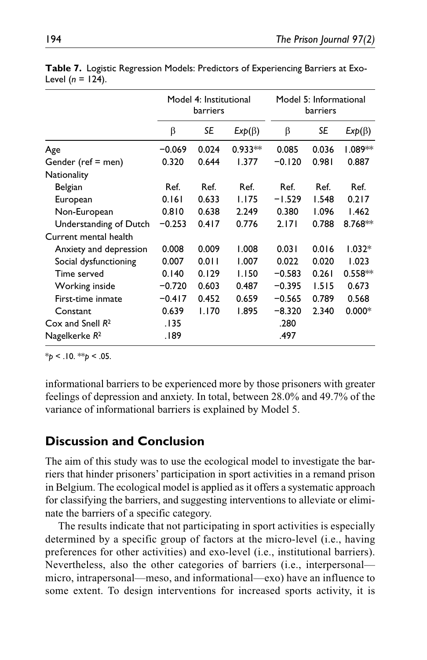|                           | Model 4: Institutional<br>barriers |           |              | Model 5: Informational<br>barriers |           |              |  |
|---------------------------|------------------------------------|-----------|--------------|------------------------------------|-----------|--------------|--|
|                           | β                                  | <b>SE</b> | $Exp(\beta)$ | β                                  | <b>SE</b> | $Exp(\beta)$ |  |
| Age                       | $-0.069$                           | 0.024     | $0.933**$    | 0.085                              | 0.036     | 1.089**      |  |
| Gender (ref = men)        | 0.320                              | 0.644     | 1.377        | $-0.120$                           | 0.981     | 0.887        |  |
| Nationality               |                                    |           |              |                                    |           |              |  |
| Belgian                   | Ref.                               | Ref.      | Ref.         | Ref.                               | Ref.      | Ref.         |  |
| European                  | 0.161                              | 0.633     | 1.175        | $-1.529$                           | 1.548     | 0.217        |  |
| Non-European              | 0.810                              | 0.638     | 2.249        | 0.380                              | 1.096     | 1.462        |  |
| Understanding of Dutch    | $-0.253$                           | 0.417     | 0.776        | 2.171                              | 0.788     | 8.768**      |  |
| Current mental health     |                                    |           |              |                                    |           |              |  |
| Anxiety and depression    | 0.008                              | 0.009     | 1.008        | 0.031                              | 0.016     | $1.032*$     |  |
| Social dysfunctioning     | 0.007                              | 0.011     | 1.007        | 0.022                              | 0.020     | 1.023        |  |
| Time served               | 0.140                              | 0.129     | 1.150        | $-0.583$                           | 0.261     | $0.558**$    |  |
| Working inside            | $-0.720$                           | 0.603     | 0.487        | $-0.395$                           | 1.515     | 0.673        |  |
| First-time inmate         | $-0.417$                           | 0.452     | 0.659        | $-0.565$                           | 0.789     | 0.568        |  |
| Constant                  | 0.639                              | 1.170     | 1.895        | $-8.320$                           | 2.340     | $0.000*$     |  |
| Cox and Snell $R^2$       | .135                               |           |              | .280                               |           |              |  |
| Nagelkerke R <sup>2</sup> | 189.                               |           |              | .497                               |           |              |  |

**Table 7.** Logistic Regression Models: Predictors of Experiencing Barriers at Exo-Level (*n* = 124).

\**p* < .10. \*\**p* < .05.

informational barriers to be experienced more by those prisoners with greater feelings of depression and anxiety. In total, between 28.0% and 49.7% of the variance of informational barriers is explained by Model 5.

## **Discussion and Conclusion**

The aim of this study was to use the ecological model to investigate the barriers that hinder prisoners' participation in sport activities in a remand prison in Belgium. The ecological model is applied as it offers a systematic approach for classifying the barriers, and suggesting interventions to alleviate or eliminate the barriers of a specific category.

The results indicate that not participating in sport activities is especially determined by a specific group of factors at the micro-level (i.e., having preferences for other activities) and exo-level (i.e., institutional barriers). Nevertheless, also the other categories of barriers (i.e., interpersonal micro, intrapersonal—meso, and informational—exo) have an influence to some extent. To design interventions for increased sports activity, it is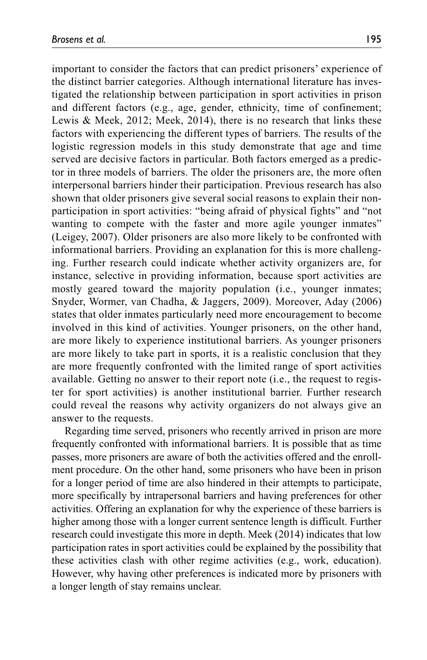important to consider the factors that can predict prisoners' experience of the distinct barrier categories. Although international literature has investigated the relationship between participation in sport activities in prison and different factors (e.g., age, gender, ethnicity, time of confinement; Lewis & Meek, 2012; Meek, 2014), there is no research that links these factors with experiencing the different types of barriers. The results of the logistic regression models in this study demonstrate that age and time served are decisive factors in particular. Both factors emerged as a predictor in three models of barriers. The older the prisoners are, the more often interpersonal barriers hinder their participation. Previous research has also shown that older prisoners give several social reasons to explain their nonparticipation in sport activities: "being afraid of physical fights" and "not wanting to compete with the faster and more agile younger inmates" (Leigey, 2007). Older prisoners are also more likely to be confronted with informational barriers. Providing an explanation for this is more challenging. Further research could indicate whether activity organizers are, for instance, selective in providing information, because sport activities are mostly geared toward the majority population (i.e., younger inmates; Snyder, Wormer, van Chadha, & Jaggers, 2009). Moreover, Aday (2006) states that older inmates particularly need more encouragement to become involved in this kind of activities. Younger prisoners, on the other hand, are more likely to experience institutional barriers. As younger prisoners are more likely to take part in sports, it is a realistic conclusion that they are more frequently confronted with the limited range of sport activities available. Getting no answer to their report note (i.e., the request to register for sport activities) is another institutional barrier. Further research could reveal the reasons why activity organizers do not always give an answer to the requests.

Regarding time served, prisoners who recently arrived in prison are more frequently confronted with informational barriers. It is possible that as time passes, more prisoners are aware of both the activities offered and the enrollment procedure. On the other hand, some prisoners who have been in prison for a longer period of time are also hindered in their attempts to participate, more specifically by intrapersonal barriers and having preferences for other activities. Offering an explanation for why the experience of these barriers is higher among those with a longer current sentence length is difficult. Further research could investigate this more in depth. Meek (2014) indicates that low participation rates in sport activities could be explained by the possibility that these activities clash with other regime activities (e.g., work, education). However, why having other preferences is indicated more by prisoners with a longer length of stay remains unclear.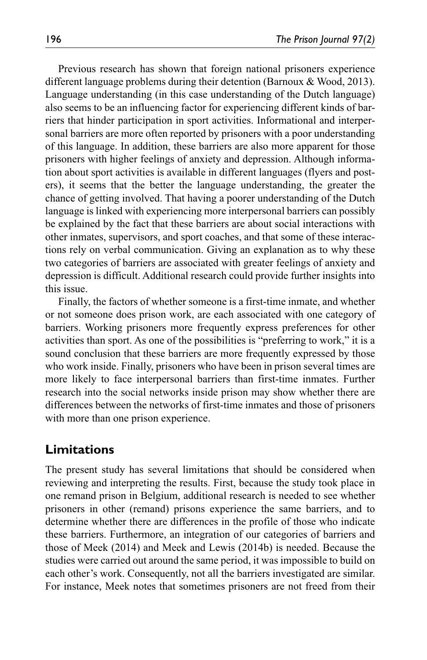Previous research has shown that foreign national prisoners experience different language problems during their detention (Barnoux & Wood, 2013). Language understanding (in this case understanding of the Dutch language) also seems to be an influencing factor for experiencing different kinds of barriers that hinder participation in sport activities. Informational and interpersonal barriers are more often reported by prisoners with a poor understanding of this language. In addition, these barriers are also more apparent for those prisoners with higher feelings of anxiety and depression. Although information about sport activities is available in different languages (flyers and posters), it seems that the better the language understanding, the greater the chance of getting involved. That having a poorer understanding of the Dutch language is linked with experiencing more interpersonal barriers can possibly be explained by the fact that these barriers are about social interactions with other inmates, supervisors, and sport coaches, and that some of these interactions rely on verbal communication. Giving an explanation as to why these two categories of barriers are associated with greater feelings of anxiety and depression is difficult. Additional research could provide further insights into this issue.

Finally, the factors of whether someone is a first-time inmate, and whether or not someone does prison work, are each associated with one category of barriers. Working prisoners more frequently express preferences for other activities than sport. As one of the possibilities is "preferring to work," it is a sound conclusion that these barriers are more frequently expressed by those who work inside. Finally, prisoners who have been in prison several times are more likely to face interpersonal barriers than first-time inmates. Further research into the social networks inside prison may show whether there are differences between the networks of first-time inmates and those of prisoners with more than one prison experience.

### **Limitations**

The present study has several limitations that should be considered when reviewing and interpreting the results. First, because the study took place in one remand prison in Belgium, additional research is needed to see whether prisoners in other (remand) prisons experience the same barriers, and to determine whether there are differences in the profile of those who indicate these barriers. Furthermore, an integration of our categories of barriers and those of Meek (2014) and Meek and Lewis (2014b) is needed. Because the studies were carried out around the same period, it was impossible to build on each other's work. Consequently, not all the barriers investigated are similar. For instance, Meek notes that sometimes prisoners are not freed from their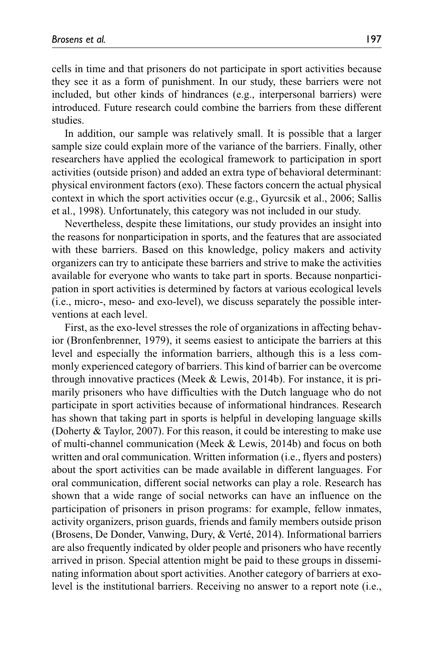cells in time and that prisoners do not participate in sport activities because they see it as a form of punishment. In our study, these barriers were not included, but other kinds of hindrances (e.g., interpersonal barriers) were introduced. Future research could combine the barriers from these different studies.

In addition, our sample was relatively small. It is possible that a larger sample size could explain more of the variance of the barriers. Finally, other researchers have applied the ecological framework to participation in sport activities (outside prison) and added an extra type of behavioral determinant: physical environment factors (exo). These factors concern the actual physical context in which the sport activities occur (e.g., Gyurcsik et al., 2006; Sallis et al., 1998). Unfortunately, this category was not included in our study.

Nevertheless, despite these limitations, our study provides an insight into the reasons for nonparticipation in sports, and the features that are associated with these barriers. Based on this knowledge, policy makers and activity organizers can try to anticipate these barriers and strive to make the activities available for everyone who wants to take part in sports. Because nonparticipation in sport activities is determined by factors at various ecological levels (i.e., micro-, meso- and exo-level), we discuss separately the possible interventions at each level.

First, as the exo-level stresses the role of organizations in affecting behavior (Bronfenbrenner, 1979), it seems easiest to anticipate the barriers at this level and especially the information barriers, although this is a less commonly experienced category of barriers. This kind of barrier can be overcome through innovative practices (Meek & Lewis, 2014b). For instance, it is primarily prisoners who have difficulties with the Dutch language who do not participate in sport activities because of informational hindrances. Research has shown that taking part in sports is helpful in developing language skills (Doherty & Taylor, 2007). For this reason, it could be interesting to make use of multi-channel communication (Meek & Lewis, 2014b) and focus on both written and oral communication. Written information (i.e., flyers and posters) about the sport activities can be made available in different languages. For oral communication, different social networks can play a role. Research has shown that a wide range of social networks can have an influence on the participation of prisoners in prison programs: for example, fellow inmates, activity organizers, prison guards, friends and family members outside prison (Brosens, De Donder, Vanwing, Dury, & Verté, 2014). Informational barriers are also frequently indicated by older people and prisoners who have recently arrived in prison. Special attention might be paid to these groups in disseminating information about sport activities. Another category of barriers at exolevel is the institutional barriers. Receiving no answer to a report note (i.e.,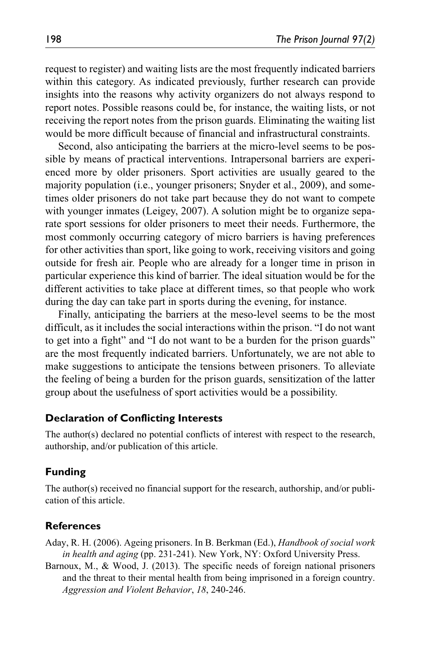request to register) and waiting lists are the most frequently indicated barriers within this category. As indicated previously, further research can provide insights into the reasons why activity organizers do not always respond to report notes. Possible reasons could be, for instance, the waiting lists, or not receiving the report notes from the prison guards. Eliminating the waiting list would be more difficult because of financial and infrastructural constraints.

Second, also anticipating the barriers at the micro-level seems to be possible by means of practical interventions. Intrapersonal barriers are experienced more by older prisoners. Sport activities are usually geared to the majority population (i.e., younger prisoners; Snyder et al., 2009), and sometimes older prisoners do not take part because they do not want to compete with younger inmates (Leigey, 2007). A solution might be to organize separate sport sessions for older prisoners to meet their needs. Furthermore, the most commonly occurring category of micro barriers is having preferences for other activities than sport, like going to work, receiving visitors and going outside for fresh air. People who are already for a longer time in prison in particular experience this kind of barrier. The ideal situation would be for the different activities to take place at different times, so that people who work during the day can take part in sports during the evening, for instance.

Finally, anticipating the barriers at the meso-level seems to be the most difficult, as it includes the social interactions within the prison. "I do not want to get into a fight" and "I do not want to be a burden for the prison guards" are the most frequently indicated barriers. Unfortunately, we are not able to make suggestions to anticipate the tensions between prisoners. To alleviate the feeling of being a burden for the prison guards, sensitization of the latter group about the usefulness of sport activities would be a possibility.

#### **Declaration of Conflicting Interests**

The author(s) declared no potential conflicts of interest with respect to the research, authorship, and/or publication of this article.

#### **Funding**

The author(s) received no financial support for the research, authorship, and/or publication of this article.

#### **References**

Aday, R. H. (2006). Ageing prisoners. In B. Berkman (Ed.), *Handbook of social work in health and aging* (pp. 231-241). New York, NY: Oxford University Press.

Barnoux, M., & Wood, J. (2013). The specific needs of foreign national prisoners and the threat to their mental health from being imprisoned in a foreign country. *Aggression and Violent Behavior*, *18*, 240-246.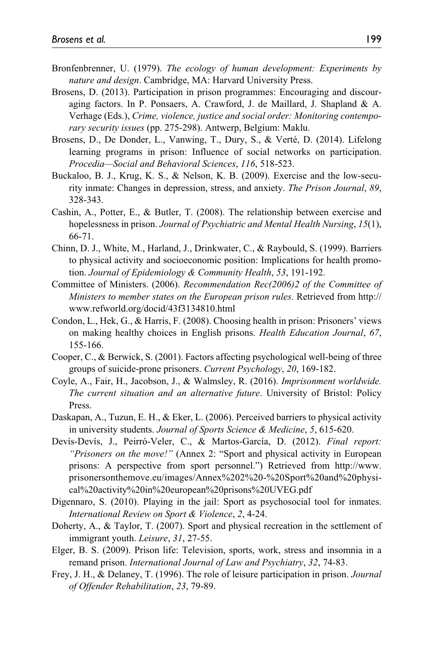- Bronfenbrenner, U. (1979). *The ecology of human development: Experiments by nature and design*. Cambridge, MA: Harvard University Press.
- Brosens, D. (2013). Participation in prison programmes: Encouraging and discouraging factors. In P. Ponsaers, A. Crawford, J. de Maillard, J. Shapland & A. Verhage (Eds.), *Crime, violence, justice and social order: Monitoring contemporary security issues* (pp. 275-298). Antwerp, Belgium: Maklu.
- Brosens, D., De Donder, L., Vanwing, T., Dury, S., & Verté, D. (2014). Lifelong learning programs in prison: Influence of social networks on participation. *Procedia—Social and Behavioral Sciences*, *116*, 518-523.
- Buckaloo, B. J., Krug, K. S., & Nelson, K. B. (2009). Exercise and the low-security inmate: Changes in depression, stress, and anxiety. *The Prison Journal*, *89*, 328-343.
- Cashin, A., Potter, E., & Butler, T. (2008). The relationship between exercise and hopelessness in prison. *Journal of Psychiatric and Mental Health Nursing*, *15*(1), 66-71.
- Chinn, D. J., White, M., Harland, J., Drinkwater, C., & Raybould, S. (1999). Barriers to physical activity and socioeconomic position: Implications for health promotion. *Journal of Epidemiology & Community Health*, *53*, 191-192.
- Committee of Ministers. (2006). *Recommendation Rec(2006)2 of the Committee of Ministers to member states on the European prison rules*. Retrieved from [http://](http://www.refworld.org/docid/43f3134810.html) [www.refworld.org/docid/43f3134810.html](http://www.refworld.org/docid/43f3134810.html)
- Condon, L., Hek, G., & Harris, F. (2008). Choosing health in prison: Prisoners' views on making healthy choices in English prisons. *Health Education Journal*, *67*, 155-166.
- Cooper, C., & Berwick, S. (2001). Factors affecting psychological well-being of three groups of suicide-prone prisoners. *Current Psychology*, *20*, 169-182.
- Coyle, A., Fair, H., Jacobson, J., & Walmsley, R. (2016). *Imprisonment worldwide. The current situation and an alternative future*. University of Bristol: Policy Press.
- Daskapan, A., Tuzun, E. H., & Eker, L. (2006). Perceived barriers to physical activity in university students. *Journal of Sports Science & Medicine*, *5*, 615-620.
- Devís-Devís, J., Peirró-Veler, C., & Martos-García, D. (2012). *Final report: "Prisoners on the move!"* (Annex 2: "Sport and physical activity in European prisons: A perspective from sport personnel.") Retrieved from [http://www.](http://www.prisonersonthemove.eu/images/Annex%202%20-%20Sport%20and%20physical%20activity%20in%20european%20prisons%20UVEG.pdf) [prisonersonthemove.eu/images/Annex%202%20-%20Sport%20and%20physi](http://www.prisonersonthemove.eu/images/Annex%202%20-%20Sport%20and%20physical%20activity%20in%20european%20prisons%20UVEG.pdf)[cal%20activity%20in%20european%20prisons%20UVEG.pdf](http://www.prisonersonthemove.eu/images/Annex%202%20-%20Sport%20and%20physical%20activity%20in%20european%20prisons%20UVEG.pdf)
- Digennaro, S. (2010). Playing in the jail: Sport as psychosocial tool for inmates. *International Review on Sport & Violence*, *2*, 4-24.
- Doherty, A., & Taylor, T. (2007). Sport and physical recreation in the settlement of immigrant youth. *Leisure*, *31*, 27-55.
- Elger, B. S. (2009). Prison life: Television, sports, work, stress and insomnia in a remand prison. *International Journal of Law and Psychiatry*, *32*, 74-83.
- Frey, J. H., & Delaney, T. (1996). The role of leisure participation in prison. *Journal of Offender Rehabilitation*, *23*, 79-89.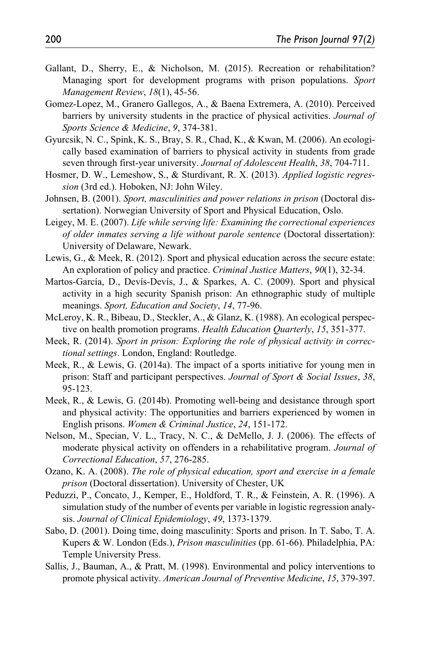- Gallant, D., Sherry, E., & Nicholson, M. (2015). Recreation or rehabilitation? Managing sport for development programs with prison populations. *Sport Management Review*, *18*(1), 45-56.
- Gomez-Lopez, M., Granero Gallegos, A., & Baena Extremera, A. (2010). Perceived barriers by university students in the practice of physical activities. *Journal of Sports Science & Medicine*, *9*, 374-381.
- Gyurcsik, N. C., Spink, K. S., Bray, S. R., Chad, K., & Kwan, M. (2006). An ecologically based examination of barriers to physical activity in students from grade seven through first-year university. *Journal of Adolescent Health*, *38*, 704-711.
- Hosmer, D. W., Lemeshow, S., & Sturdivant, R. X. (2013). *Applied logistic regression* (3rd ed.). Hoboken, NJ: John Wiley.
- Johnsen, B. (2001). *Sport, masculinities and power relations in prison* (Doctoral dissertation). Norwegian University of Sport and Physical Education, Oslo.
- Leigey, M. E. (2007). *Life while serving life: Examining the correctional experiences of older inmates serving a life without parole sentence* (Doctoral dissertation): University of Delaware, Newark.
- Lewis, G., & Meek, R. (2012). Sport and physical education across the secure estate: An exploration of policy and practice. *Criminal Justice Matters*, *90*(1), 32-34.
- Martos-García, D., Devís-Devís, J., & Sparkes, A. C. (2009). Sport and physical activity in a high security Spanish prison: An ethnographic study of multiple meanings. *Sport, Education and Society*, *14*, 77-96.
- McLeroy, K. R., Bibeau, D., Steckler, A., & Glanz, K. (1988). An ecological perspective on health promotion programs. *Health Education Quarterly*, *15*, 351-377.
- Meek, R. (2014). *Sport in prison: Exploring the role of physical activity in correctional settings*. London, England: Routledge.
- Meek, R., & Lewis, G. (2014a). The impact of a sports initiative for young men in prison: Staff and participant perspectives. *Journal of Sport & Social Issues*, *38*, 95-123.
- Meek, R., & Lewis, G. (2014b). Promoting well-being and desistance through sport and physical activity: The opportunities and barriers experienced by women in English prisons. *Women & Criminal Justice*, *24*, 151-172.
- Nelson, M., Specian, V. L., Tracy, N. C., & DeMello, J. J. (2006). The effects of moderate physical activity on offenders in a rehabilitative program. *Journal of Correctional Education*, *57*, 276-285.
- Ozano, K. A. (2008). *The role of physical education, sport and exercise in a female prison* (Doctoral dissertation). University of Chester, UK
- Peduzzi, P., Concato, J., Kemper, E., Holdford, T. R., & Feinstein, A. R. (1996). A simulation study of the number of events per variable in logistic regression analysis. *Journal of Clinical Epidemiology*, *49*, 1373-1379.
- Sabo, D. (2001). Doing time, doing masculinity: Sports and prison. In T. Sabo, T. A. Kupers & W. London (Eds.), *Prison masculinities* (pp. 61-66). Philadelphia, PA: Temple University Press.
- Sallis, J., Bauman, A., & Pratt, M. (1998). Environmental and policy interventions to promote physical activity. *American Journal of Preventive Medicine*, *15*, 379-397.